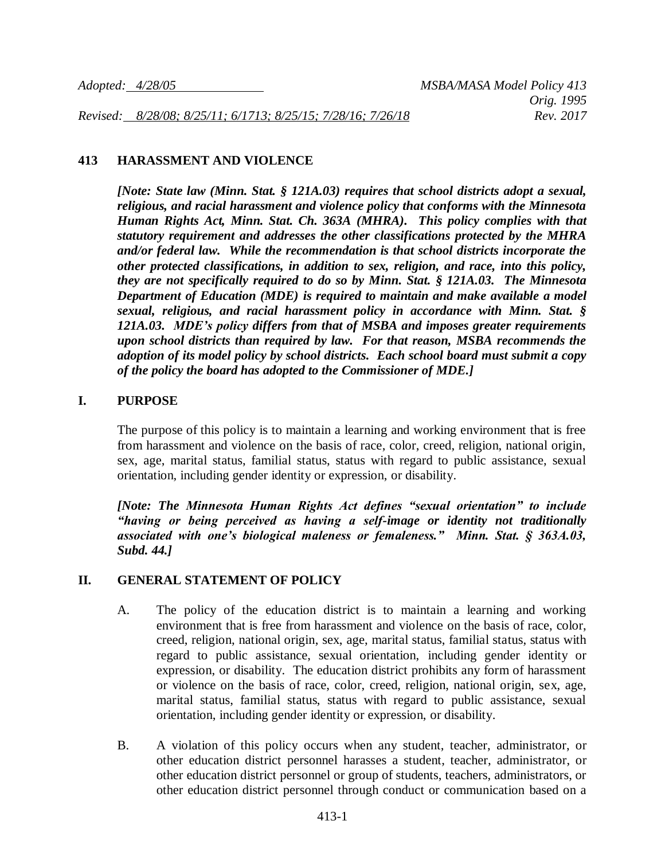*Revised: 8/28/08; 8/25/11; 6/1713; 8/25/15; 7/28/16; 7/26/18 Rev. 2017*

#### **413 HARASSMENT AND VIOLENCE**

*[Note: State law (Minn. Stat. § 121A.03) requires that school districts adopt a sexual, religious, and racial harassment and violence policy that conforms with the Minnesota Human Rights Act, Minn. Stat. Ch. 363A (MHRA). This policy complies with that statutory requirement and addresses the other classifications protected by the MHRA and/or federal law. While the recommendation is that school districts incorporate the other protected classifications, in addition to sex, religion, and race, into this policy, they are not specifically required to do so by Minn. Stat. § 121A.03. The Minnesota Department of Education (MDE) is required to maintain and make available a model sexual, religious, and racial harassment policy in accordance with Minn. Stat. § 121A.03. MDE's policy differs from that of MSBA and imposes greater requirements upon school districts than required by law. For that reason, MSBA recommends the adoption of its model policy by school districts. Each school board must submit a copy of the policy the board has adopted to the Commissioner of MDE.]*

#### **I. PURPOSE**

The purpose of this policy is to maintain a learning and working environment that is free from harassment and violence on the basis of race, color, creed, religion, national origin, sex, age, marital status, familial status, status with regard to public assistance, sexual orientation, including gender identity or expression, or disability.

*[Note: The Minnesota Human Rights Act defines "sexual orientation" to include "having or being perceived as having a self-image or identity not traditionally associated with one's biological maleness or femaleness." Minn. Stat. § 363A.03, Subd. 44.]*

#### **II. GENERAL STATEMENT OF POLICY**

- A. The policy of the education district is to maintain a learning and working environment that is free from harassment and violence on the basis of race, color, creed, religion, national origin, sex, age, marital status, familial status, status with regard to public assistance, sexual orientation, including gender identity or expression, or disability. The education district prohibits any form of harassment or violence on the basis of race, color, creed, religion, national origin, sex, age, marital status, familial status, status with regard to public assistance, sexual orientation, including gender identity or expression, or disability.
- B. A violation of this policy occurs when any student, teacher, administrator, or other education district personnel harasses a student, teacher, administrator, or other education district personnel or group of students, teachers, administrators, or other education district personnel through conduct or communication based on a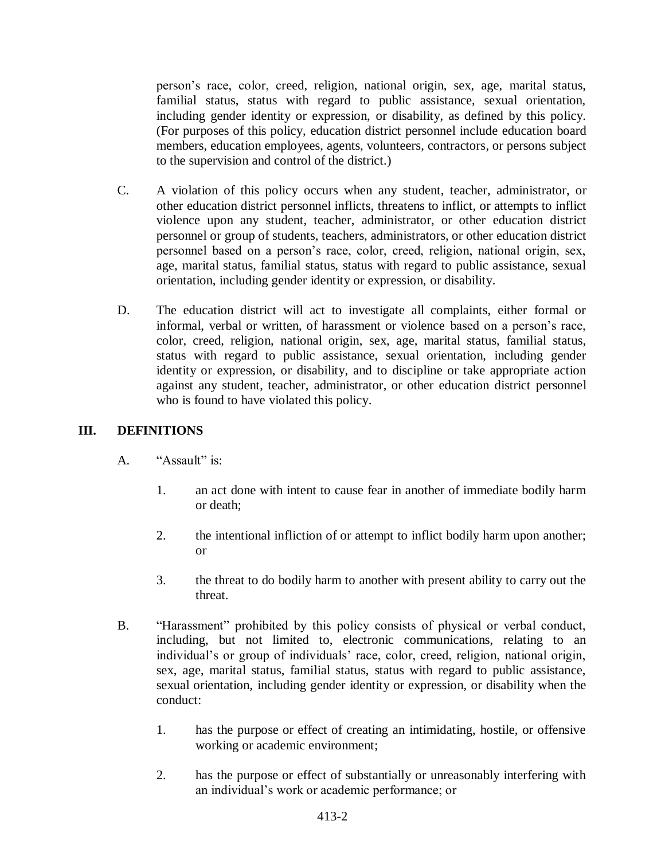person's race, color, creed, religion, national origin, sex, age, marital status, familial status, status with regard to public assistance, sexual orientation, including gender identity or expression, or disability, as defined by this policy. (For purposes of this policy, education district personnel include education board members, education employees, agents, volunteers, contractors, or persons subject to the supervision and control of the district.)

- C. A violation of this policy occurs when any student, teacher, administrator, or other education district personnel inflicts, threatens to inflict, or attempts to inflict violence upon any student, teacher, administrator, or other education district personnel or group of students, teachers, administrators, or other education district personnel based on a person's race, color, creed, religion, national origin, sex, age, marital status, familial status, status with regard to public assistance, sexual orientation, including gender identity or expression, or disability.
- D. The education district will act to investigate all complaints, either formal or informal, verbal or written, of harassment or violence based on a person's race, color, creed, religion, national origin, sex, age, marital status, familial status, status with regard to public assistance, sexual orientation, including gender identity or expression, or disability, and to discipline or take appropriate action against any student, teacher, administrator, or other education district personnel who is found to have violated this policy.

# **III. DEFINITIONS**

- A. "Assault" is:
	- 1. an act done with intent to cause fear in another of immediate bodily harm or death;
	- 2. the intentional infliction of or attempt to inflict bodily harm upon another; or
	- 3. the threat to do bodily harm to another with present ability to carry out the threat.
- B. "Harassment" prohibited by this policy consists of physical or verbal conduct, including, but not limited to, electronic communications, relating to an individual's or group of individuals' race, color, creed, religion, national origin, sex, age, marital status, familial status, status with regard to public assistance, sexual orientation, including gender identity or expression, or disability when the conduct:
	- 1. has the purpose or effect of creating an intimidating, hostile, or offensive working or academic environment;
	- 2. has the purpose or effect of substantially or unreasonably interfering with an individual's work or academic performance; or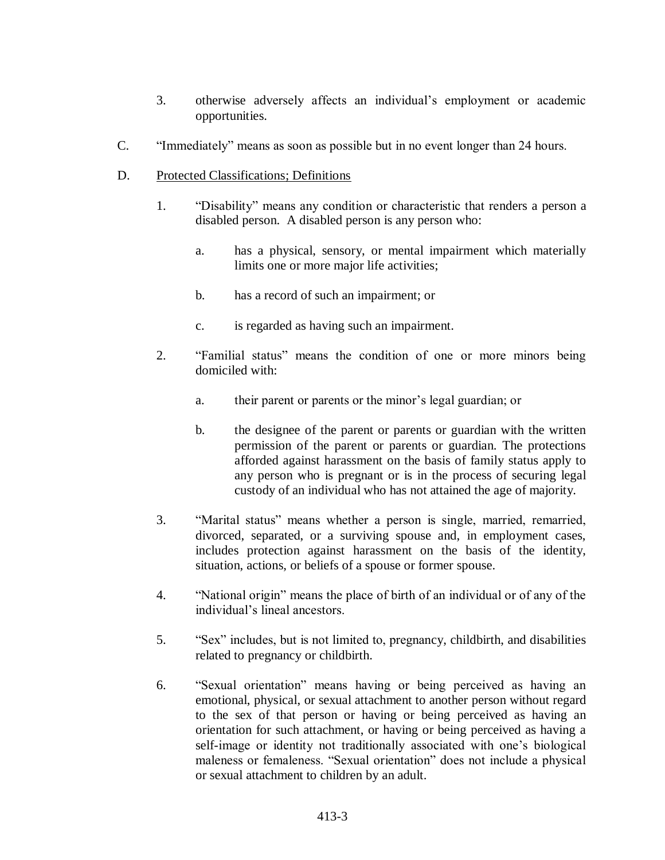- 3. otherwise adversely affects an individual's employment or academic opportunities.
- C. "Immediately" means as soon as possible but in no event longer than 24 hours.
- D. Protected Classifications; Definitions
	- 1. "Disability" means any condition or characteristic that renders a person a disabled person. A disabled person is any person who:
		- a. has a physical, sensory, or mental impairment which materially limits one or more major life activities;
		- b. has a record of such an impairment; or
		- c. is regarded as having such an impairment.
	- 2. "Familial status" means the condition of one or more minors being domiciled with:
		- a. their parent or parents or the minor's legal guardian; or
		- b. the designee of the parent or parents or guardian with the written permission of the parent or parents or guardian. The protections afforded against harassment on the basis of family status apply to any person who is pregnant or is in the process of securing legal custody of an individual who has not attained the age of majority.
	- 3. "Marital status" means whether a person is single, married, remarried, divorced, separated, or a surviving spouse and, in employment cases, includes protection against harassment on the basis of the identity, situation, actions, or beliefs of a spouse or former spouse.
	- 4. "National origin" means the place of birth of an individual or of any of the individual's lineal ancestors.
	- 5. "Sex" includes, but is not limited to, pregnancy, childbirth, and disabilities related to pregnancy or childbirth.
	- 6. "Sexual orientation" means having or being perceived as having an emotional, physical, or sexual attachment to another person without regard to the sex of that person or having or being perceived as having an orientation for such attachment, or having or being perceived as having a self-image or identity not traditionally associated with one's biological maleness or femaleness. "Sexual orientation" does not include a physical or sexual attachment to children by an adult.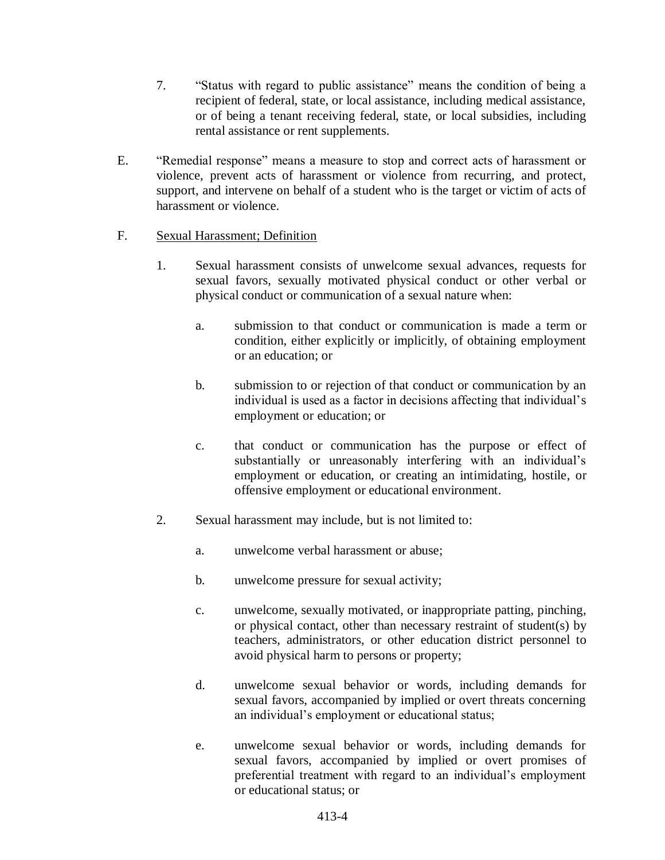- 7. "Status with regard to public assistance" means the condition of being a recipient of federal, state, or local assistance, including medical assistance, or of being a tenant receiving federal, state, or local subsidies, including rental assistance or rent supplements.
- E. "Remedial response" means a measure to stop and correct acts of harassment or violence, prevent acts of harassment or violence from recurring, and protect, support, and intervene on behalf of a student who is the target or victim of acts of harassment or violence.

## F. Sexual Harassment; Definition

- 1. Sexual harassment consists of unwelcome sexual advances, requests for sexual favors, sexually motivated physical conduct or other verbal or physical conduct or communication of a sexual nature when:
	- a. submission to that conduct or communication is made a term or condition, either explicitly or implicitly, of obtaining employment or an education; or
	- b. submission to or rejection of that conduct or communication by an individual is used as a factor in decisions affecting that individual's employment or education; or
	- c. that conduct or communication has the purpose or effect of substantially or unreasonably interfering with an individual's employment or education, or creating an intimidating, hostile, or offensive employment or educational environment.
- 2. Sexual harassment may include, but is not limited to:
	- a. unwelcome verbal harassment or abuse;
	- b. unwelcome pressure for sexual activity;
	- c. unwelcome, sexually motivated, or inappropriate patting, pinching, or physical contact, other than necessary restraint of student(s) by teachers, administrators, or other education district personnel to avoid physical harm to persons or property;
	- d. unwelcome sexual behavior or words, including demands for sexual favors, accompanied by implied or overt threats concerning an individual's employment or educational status;
	- e. unwelcome sexual behavior or words, including demands for sexual favors, accompanied by implied or overt promises of preferential treatment with regard to an individual's employment or educational status; or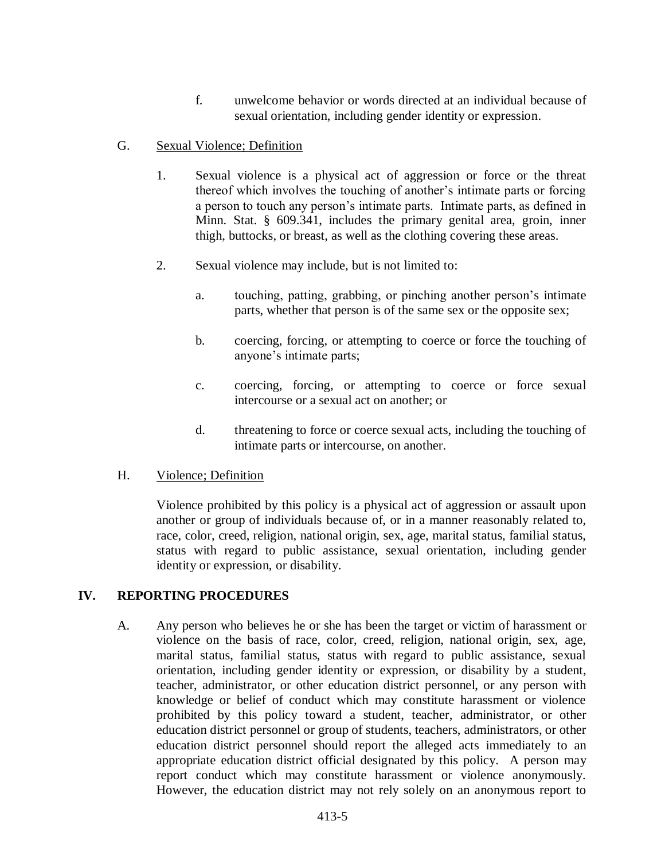f. unwelcome behavior or words directed at an individual because of sexual orientation, including gender identity or expression.

## G. Sexual Violence; Definition

- 1. Sexual violence is a physical act of aggression or force or the threat thereof which involves the touching of another's intimate parts or forcing a person to touch any person's intimate parts. Intimate parts, as defined in Minn. Stat. § 609.341, includes the primary genital area, groin, inner thigh, buttocks, or breast, as well as the clothing covering these areas.
- 2. Sexual violence may include, but is not limited to:
	- a. touching, patting, grabbing, or pinching another person's intimate parts, whether that person is of the same sex or the opposite sex;
	- b. coercing, forcing, or attempting to coerce or force the touching of anyone's intimate parts;
	- c. coercing, forcing, or attempting to coerce or force sexual intercourse or a sexual act on another; or
	- d. threatening to force or coerce sexual acts, including the touching of intimate parts or intercourse, on another.

### H. Violence; Definition

Violence prohibited by this policy is a physical act of aggression or assault upon another or group of individuals because of, or in a manner reasonably related to, race, color, creed, religion, national origin, sex, age, marital status, familial status, status with regard to public assistance, sexual orientation, including gender identity or expression, or disability.

### **IV. REPORTING PROCEDURES**

A. Any person who believes he or she has been the target or victim of harassment or violence on the basis of race, color, creed, religion, national origin, sex, age, marital status, familial status, status with regard to public assistance, sexual orientation, including gender identity or expression, or disability by a student, teacher, administrator, or other education district personnel, or any person with knowledge or belief of conduct which may constitute harassment or violence prohibited by this policy toward a student, teacher, administrator, or other education district personnel or group of students, teachers, administrators, or other education district personnel should report the alleged acts immediately to an appropriate education district official designated by this policy. A person may report conduct which may constitute harassment or violence anonymously. However, the education district may not rely solely on an anonymous report to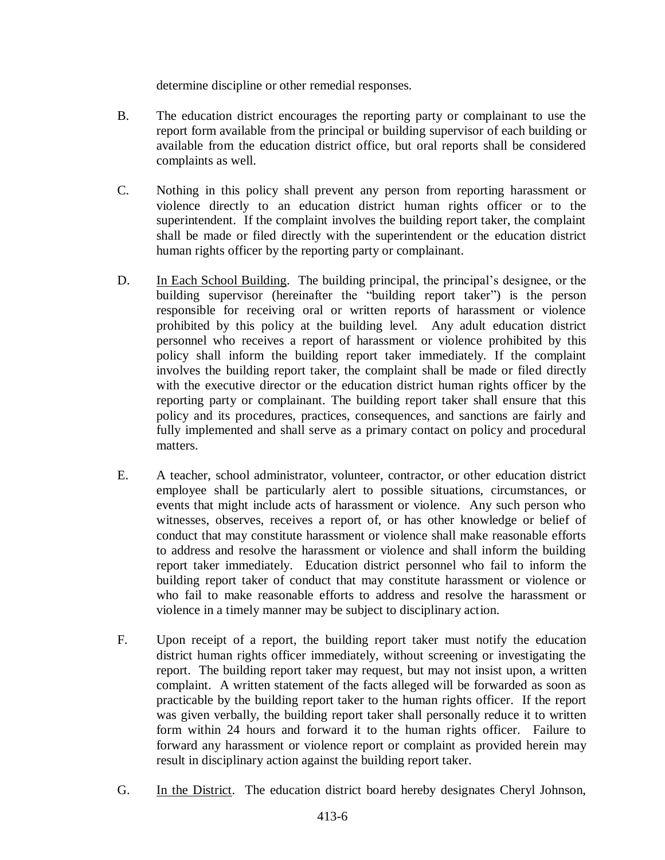determine discipline or other remedial responses.

- B. The education district encourages the reporting party or complainant to use the report form available from the principal or building supervisor of each building or available from the education district office, but oral reports shall be considered complaints as well.
- C. Nothing in this policy shall prevent any person from reporting harassment or violence directly to an education district human rights officer or to the superintendent. If the complaint involves the building report taker, the complaint shall be made or filed directly with the superintendent or the education district human rights officer by the reporting party or complainant.
- D. In Each School Building. The building principal, the principal's designee, or the building supervisor (hereinafter the "building report taker") is the person responsible for receiving oral or written reports of harassment or violence prohibited by this policy at the building level. Any adult education district personnel who receives a report of harassment or violence prohibited by this policy shall inform the building report taker immediately. If the complaint involves the building report taker, the complaint shall be made or filed directly with the executive director or the education district human rights officer by the reporting party or complainant. The building report taker shall ensure that this policy and its procedures, practices, consequences, and sanctions are fairly and fully implemented and shall serve as a primary contact on policy and procedural matters.
- E. A teacher, school administrator, volunteer, contractor, or other education district employee shall be particularly alert to possible situations, circumstances, or events that might include acts of harassment or violence. Any such person who witnesses, observes, receives a report of, or has other knowledge or belief of conduct that may constitute harassment or violence shall make reasonable efforts to address and resolve the harassment or violence and shall inform the building report taker immediately. Education district personnel who fail to inform the building report taker of conduct that may constitute harassment or violence or who fail to make reasonable efforts to address and resolve the harassment or violence in a timely manner may be subject to disciplinary action.
- F. Upon receipt of a report, the building report taker must notify the education district human rights officer immediately, without screening or investigating the report. The building report taker may request, but may not insist upon, a written complaint. A written statement of the facts alleged will be forwarded as soon as practicable by the building report taker to the human rights officer. If the report was given verbally, the building report taker shall personally reduce it to written form within 24 hours and forward it to the human rights officer. Failure to forward any harassment or violence report or complaint as provided herein may result in disciplinary action against the building report taker.
- G. In the District. The education district board hereby designates Cheryl Johnson,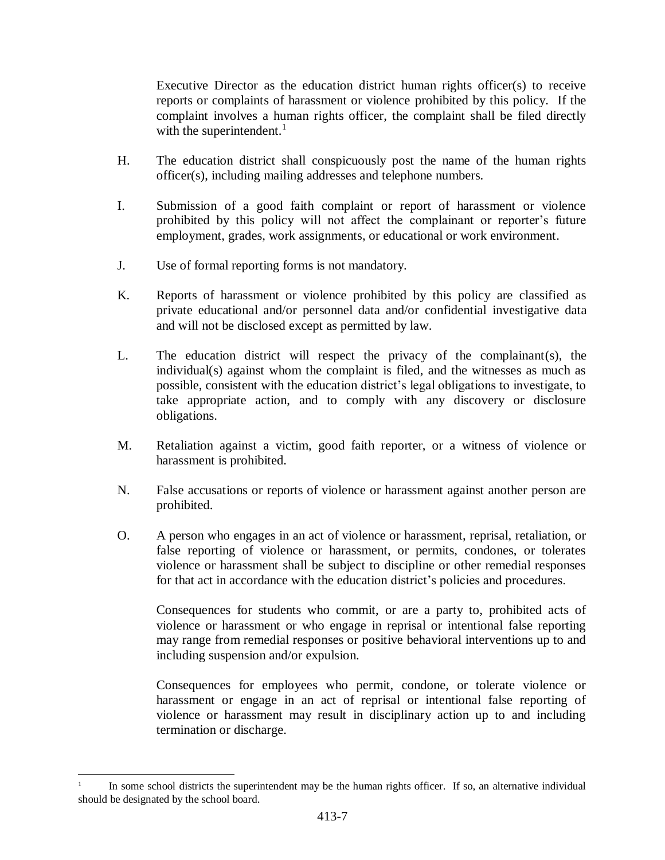Executive Director as the education district human rights officer(s) to receive reports or complaints of harassment or violence prohibited by this policy. If the complaint involves a human rights officer, the complaint shall be filed directly with the superintendent. $<sup>1</sup>$ </sup>

- H. The education district shall conspicuously post the name of the human rights officer(s), including mailing addresses and telephone numbers.
- I. Submission of a good faith complaint or report of harassment or violence prohibited by this policy will not affect the complainant or reporter's future employment, grades, work assignments, or educational or work environment.
- J. Use of formal reporting forms is not mandatory.
- K. Reports of harassment or violence prohibited by this policy are classified as private educational and/or personnel data and/or confidential investigative data and will not be disclosed except as permitted by law.
- L. The education district will respect the privacy of the complainant(s), the individual(s) against whom the complaint is filed, and the witnesses as much as possible, consistent with the education district's legal obligations to investigate, to take appropriate action, and to comply with any discovery or disclosure obligations.
- M. Retaliation against a victim, good faith reporter, or a witness of violence or harassment is prohibited.
- N. False accusations or reports of violence or harassment against another person are prohibited.
- O. A person who engages in an act of violence or harassment, reprisal, retaliation, or false reporting of violence or harassment, or permits, condones, or tolerates violence or harassment shall be subject to discipline or other remedial responses for that act in accordance with the education district's policies and procedures.

Consequences for students who commit, or are a party to, prohibited acts of violence or harassment or who engage in reprisal or intentional false reporting may range from remedial responses or positive behavioral interventions up to and including suspension and/or expulsion.

Consequences for employees who permit, condone, or tolerate violence or harassment or engage in an act of reprisal or intentional false reporting of violence or harassment may result in disciplinary action up to and including termination or discharge.

l

<sup>1</sup> In some school districts the superintendent may be the human rights officer. If so, an alternative individual should be designated by the school board.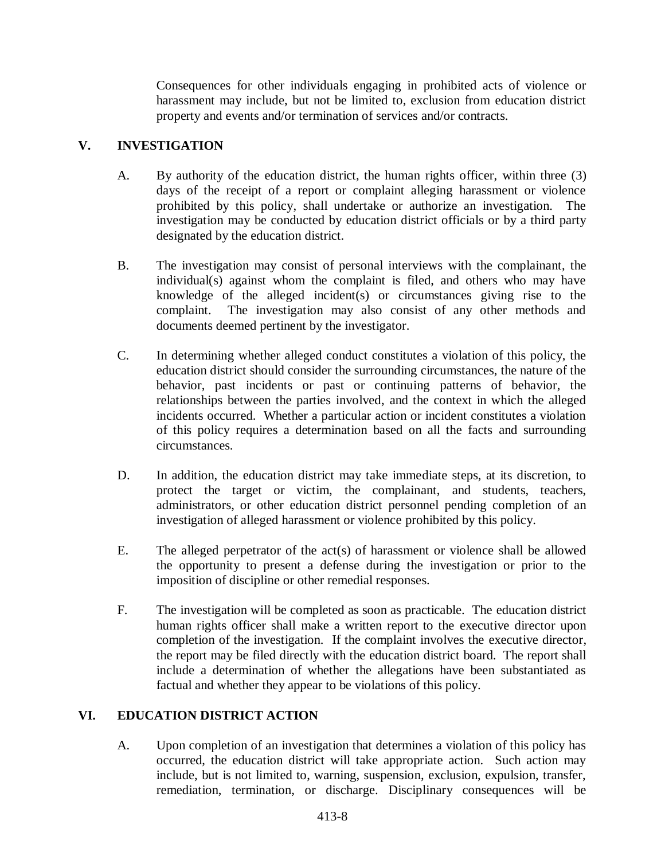Consequences for other individuals engaging in prohibited acts of violence or harassment may include, but not be limited to, exclusion from education district property and events and/or termination of services and/or contracts.

# **V. INVESTIGATION**

- A. By authority of the education district, the human rights officer, within three (3) days of the receipt of a report or complaint alleging harassment or violence prohibited by this policy, shall undertake or authorize an investigation. The investigation may be conducted by education district officials or by a third party designated by the education district.
- B. The investigation may consist of personal interviews with the complainant, the individual(s) against whom the complaint is filed, and others who may have knowledge of the alleged incident(s) or circumstances giving rise to the complaint. The investigation may also consist of any other methods and documents deemed pertinent by the investigator.
- C. In determining whether alleged conduct constitutes a violation of this policy, the education district should consider the surrounding circumstances, the nature of the behavior, past incidents or past or continuing patterns of behavior, the relationships between the parties involved, and the context in which the alleged incidents occurred. Whether a particular action or incident constitutes a violation of this policy requires a determination based on all the facts and surrounding circumstances.
- D. In addition, the education district may take immediate steps, at its discretion, to protect the target or victim, the complainant, and students, teachers, administrators, or other education district personnel pending completion of an investigation of alleged harassment or violence prohibited by this policy.
- E. The alleged perpetrator of the act(s) of harassment or violence shall be allowed the opportunity to present a defense during the investigation or prior to the imposition of discipline or other remedial responses.
- F. The investigation will be completed as soon as practicable. The education district human rights officer shall make a written report to the executive director upon completion of the investigation. If the complaint involves the executive director, the report may be filed directly with the education district board. The report shall include a determination of whether the allegations have been substantiated as factual and whether they appear to be violations of this policy.

# **VI. EDUCATION DISTRICT ACTION**

A. Upon completion of an investigation that determines a violation of this policy has occurred, the education district will take appropriate action. Such action may include, but is not limited to, warning, suspension, exclusion, expulsion, transfer, remediation, termination, or discharge. Disciplinary consequences will be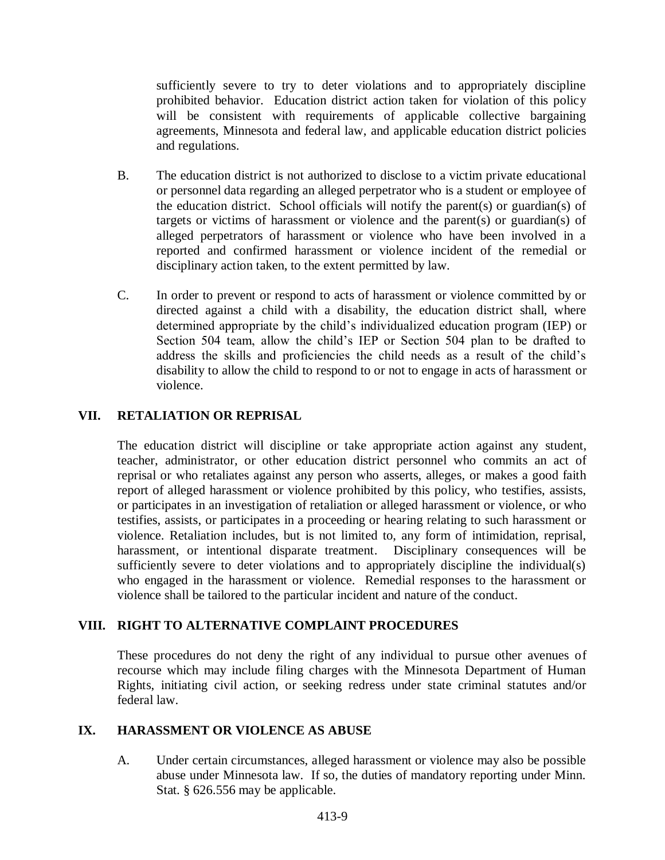sufficiently severe to try to deter violations and to appropriately discipline prohibited behavior. Education district action taken for violation of this policy will be consistent with requirements of applicable collective bargaining agreements, Minnesota and federal law, and applicable education district policies and regulations.

- B. The education district is not authorized to disclose to a victim private educational or personnel data regarding an alleged perpetrator who is a student or employee of the education district. School officials will notify the parent(s) or guardian(s) of targets or victims of harassment or violence and the parent(s) or guardian(s) of alleged perpetrators of harassment or violence who have been involved in a reported and confirmed harassment or violence incident of the remedial or disciplinary action taken, to the extent permitted by law.
- C. In order to prevent or respond to acts of harassment or violence committed by or directed against a child with a disability, the education district shall, where determined appropriate by the child's individualized education program (IEP) or Section 504 team, allow the child's IEP or Section 504 plan to be drafted to address the skills and proficiencies the child needs as a result of the child's disability to allow the child to respond to or not to engage in acts of harassment or violence.

# **VII. RETALIATION OR REPRISAL**

The education district will discipline or take appropriate action against any student, teacher, administrator, or other education district personnel who commits an act of reprisal or who retaliates against any person who asserts, alleges, or makes a good faith report of alleged harassment or violence prohibited by this policy, who testifies, assists, or participates in an investigation of retaliation or alleged harassment or violence, or who testifies, assists, or participates in a proceeding or hearing relating to such harassment or violence. Retaliation includes, but is not limited to, any form of intimidation, reprisal, harassment, or intentional disparate treatment. Disciplinary consequences will be sufficiently severe to deter violations and to appropriately discipline the individual(s) who engaged in the harassment or violence. Remedial responses to the harassment or violence shall be tailored to the particular incident and nature of the conduct.

# **VIII. RIGHT TO ALTERNATIVE COMPLAINT PROCEDURES**

These procedures do not deny the right of any individual to pursue other avenues of recourse which may include filing charges with the Minnesota Department of Human Rights, initiating civil action, or seeking redress under state criminal statutes and/or federal law.

### **IX. HARASSMENT OR VIOLENCE AS ABUSE**

A. Under certain circumstances, alleged harassment or violence may also be possible abuse under Minnesota law. If so, the duties of mandatory reporting under Minn. Stat. § 626.556 may be applicable.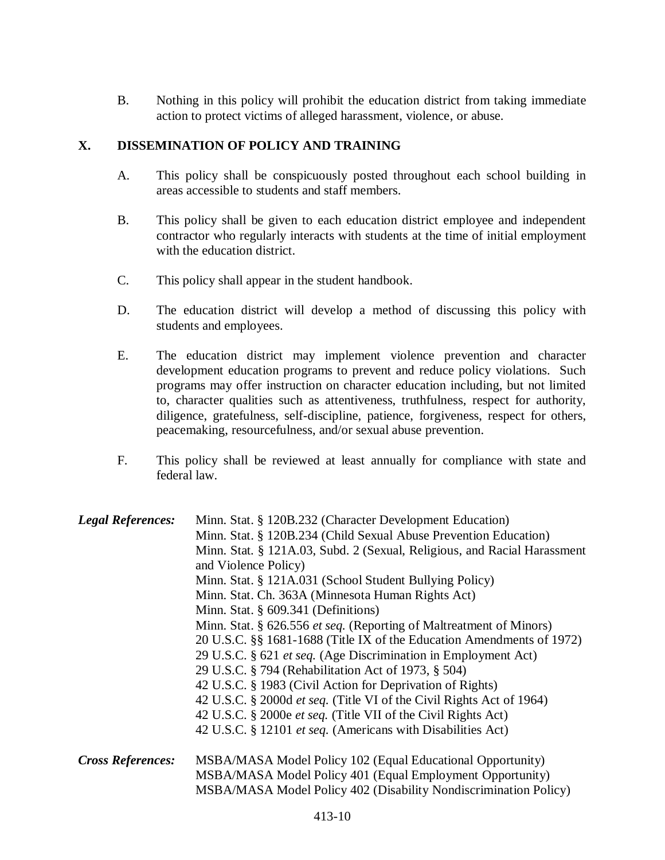B. Nothing in this policy will prohibit the education district from taking immediate action to protect victims of alleged harassment, violence, or abuse.

## **X. DISSEMINATION OF POLICY AND TRAINING**

- A. This policy shall be conspicuously posted throughout each school building in areas accessible to students and staff members.
- B. This policy shall be given to each education district employee and independent contractor who regularly interacts with students at the time of initial employment with the education district.
- C. This policy shall appear in the student handbook.
- D. The education district will develop a method of discussing this policy with students and employees.
- E. The education district may implement violence prevention and character development education programs to prevent and reduce policy violations. Such programs may offer instruction on character education including, but not limited to, character qualities such as attentiveness, truthfulness, respect for authority, diligence, gratefulness, self-discipline, patience, forgiveness, respect for others, peacemaking, resourcefulness, and/or sexual abuse prevention.
- F. This policy shall be reviewed at least annually for compliance with state and federal law.

| <b>Legal References:</b> | Minn. Stat. § 120B.232 (Character Development Education)                    |
|--------------------------|-----------------------------------------------------------------------------|
|                          | Minn. Stat. § 120B.234 (Child Sexual Abuse Prevention Education)            |
|                          | Minn. Stat. § 121A.03, Subd. 2 (Sexual, Religious, and Racial Harassment    |
|                          | and Violence Policy)                                                        |
|                          | Minn. Stat. § 121A.031 (School Student Bullying Policy)                     |
|                          | Minn. Stat. Ch. 363A (Minnesota Human Rights Act)                           |
|                          | Minn. Stat. $\S$ 609.341 (Definitions)                                      |
|                          | Minn. Stat. § 626.556 et seq. (Reporting of Maltreatment of Minors)         |
|                          | 20 U.S.C. §§ 1681-1688 (Title IX of the Education Amendments of 1972)       |
|                          | 29 U.S.C. § 621 <i>et seq.</i> (Age Discrimination in Employment Act)       |
|                          | 29 U.S.C. § 794 (Rehabilitation Act of 1973, § 504)                         |
|                          | 42 U.S.C. § 1983 (Civil Action for Deprivation of Rights)                   |
|                          | 42 U.S.C. § 2000d <i>et seq.</i> (Title VI of the Civil Rights Act of 1964) |
|                          | 42 U.S.C. § 2000e et seq. (Title VII of the Civil Rights Act)               |
|                          | 42 U.S.C. § 12101 <i>et seq.</i> (Americans with Disabilities Act)          |
| <b>Cross References:</b> | MSBA/MASA Model Policy 102 (Equal Educational Opportunity)                  |
|                          | MSBA/MASA Model Policy 401 (Equal Employment Opportunity)                   |